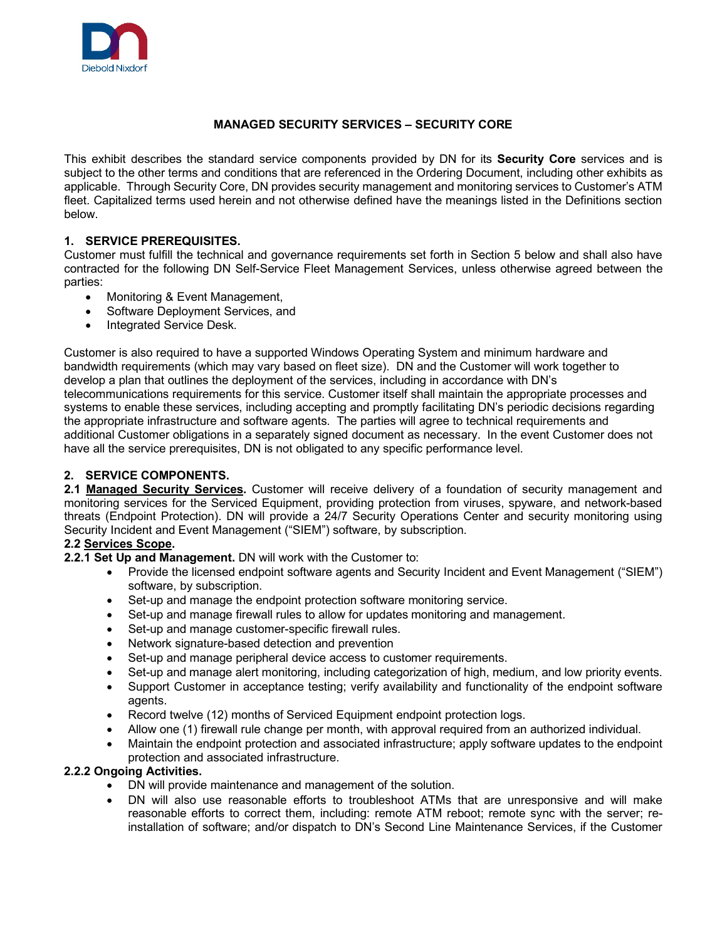

# **MANAGED SECURITY SERVICES – SECURITY CORE**

This exhibit describes the standard service components provided by DN for its **Security Core** services and is subject to the other terms and conditions that are referenced in the Ordering Document, including other exhibits as applicable. Through Security Core, DN provides security management and monitoring services to Customer's ATM fleet. Capitalized terms used herein and not otherwise defined have the meanings listed in the Definitions section below.

#### **1. SERVICE PREREQUISITES.**

Customer must fulfill the technical and governance requirements set forth in Section 5 below and shall also have contracted for the following DN Self-Service Fleet Management Services, unless otherwise agreed between the parties:

- Monitoring & Event Management,
- Software Deployment Services, and
- Integrated Service Desk.

Customer is also required to have a supported Windows Operating System and minimum hardware and bandwidth requirements (which may vary based on fleet size). DN and the Customer will work together to develop a plan that outlines the deployment of the services, including in accordance with DN's telecommunications requirements for this service. Customer itself shall maintain the appropriate processes and systems to enable these services, including accepting and promptly facilitating DN's periodic decisions regarding the appropriate infrastructure and software agents. The parties will agree to technical requirements and additional Customer obligations in a separately signed document as necessary. In the event Customer does not have all the service prerequisites, DN is not obligated to any specific performance level.

#### **2. SERVICE COMPONENTS.**

**2.1 Managed Security Services.** Customer will receive delivery of a foundation of security management and monitoring services for the Serviced Equipment, providing protection from viruses, spyware, and network-based threats (Endpoint Protection). DN will provide a 24/7 Security Operations Center and security monitoring using Security Incident and Event Management ("SIEM") software, by subscription.

#### **2.2 Services Scope.**

**2.2.1 Set Up and Management.** DN will work with the Customer to:

- Provide the licensed endpoint software agents and Security Incident and Event Management ("SIEM") software, by subscription.
- Set-up and manage the endpoint protection software monitoring service.
- Set-up and manage firewall rules to allow for updates monitoring and management.
- Set-up and manage customer-specific firewall rules.
- Network signature-based detection and prevention
- Set-up and manage peripheral device access to customer requirements.
- Set-up and manage alert monitoring, including categorization of high, medium, and low priority events.
- Support Customer in acceptance testing; verify availability and functionality of the endpoint software agents.
- Record twelve (12) months of Serviced Equipment endpoint protection logs.
- Allow one (1) firewall rule change per month, with approval required from an authorized individual.
- Maintain the endpoint protection and associated infrastructure; apply software updates to the endpoint protection and associated infrastructure.

#### **2.2.2 Ongoing Activities.**

- DN will provide maintenance and management of the solution.
- DN will also use reasonable efforts to troubleshoot ATMs that are unresponsive and will make reasonable efforts to correct them, including: remote ATM reboot; remote sync with the server; reinstallation of software; and/or dispatch to DN's Second Line Maintenance Services, if the Customer